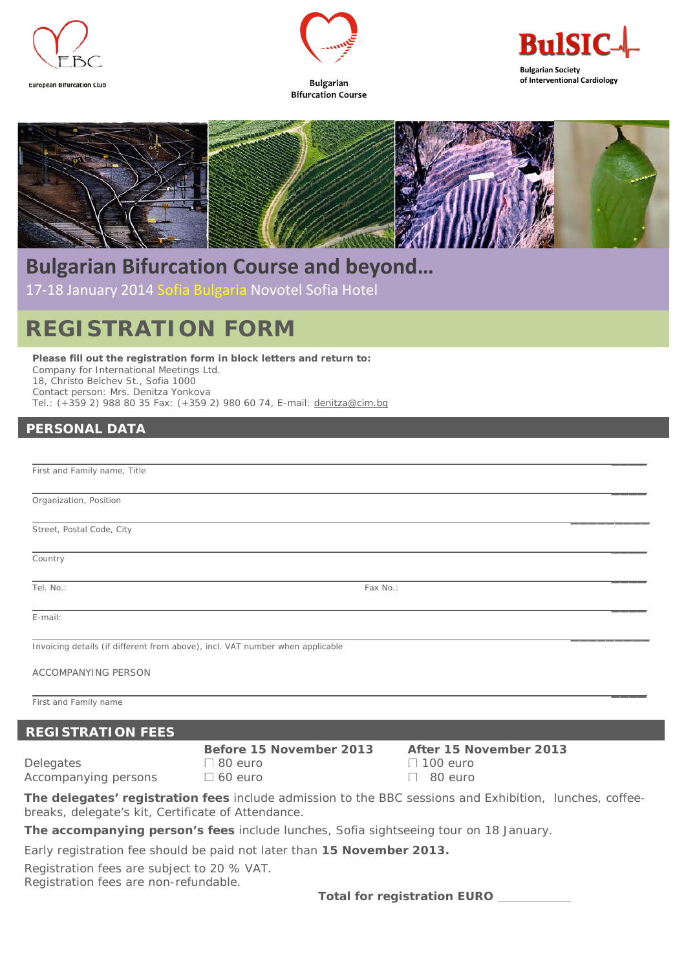



**Bulgarian Bifurcation Course** 



 $\overline{\phantom{a}}$ 

 $\overline{\phantom{a}}$ 



## **Bulgarian Bifurcation Course and beyond…**

17-18 January 2014 Sofia Bulgaria Novotel Sofia Hotel

# **REGISTRATION FORM**

**Please fill out the registration form in block letters and return to:**  Company for International Meetings Ltd. 18, Christo Belchev St., Sofia 1000 Contact person: Mrs. Denitza Yonkova Tel.: (+359 2) 988 80 35 Fax: (+359 2) 980 60 74, E-mail: denitza@cim.bg

## **PERSONAL DATA**

 $\mathcal{L}_\mathcal{L}$  , and the set of the set of the set of the set of the set of the set of the set of the set of the set of the set of the set of the set of the set of the set of the set of the set of the set of the set of th First and Family name, Title

Organization, Position

 $\mathcal{L}_\text{max}$  and  $\mathcal{L}_\text{max}$  are the set of the set of the set of the set of the set of the set of the set of the set of the set of the set of the set of the set of the set of the set of the set of the set of the set o Street, Postal Code, City

 $\mathcal{L}_\mathcal{L}$  , and the set of the set of the set of the set of the set of the set of the set of the set of the set of the set of the set of the set of the set of the set of the set of the set of the set of the set of th **Country** 

 $\mathcal{L}_\mathcal{L}$  , and the set of the set of the set of the set of the set of the set of the set of the set of the set of the set of the set of the set of the set of the set of the set of the set of the set of the set of th E-mail:

 $\mathcal{L}_\text{max}$  and  $\mathcal{L}_\text{max}$  are the set of the set of the set of the set of the set of the set of the set of the set of the set of the set of the set of the set of the set of the set of the set of the set of the set o Invoicing details (if different from above), incl. VAT number when applicable

ACCOMPANYING PERSON

 $\mathcal{L}_\mathcal{L}$  , and the set of the set of the set of the set of the set of the set of the set of the set of the set of the set of the set of the set of the set of the set of the set of the set of the set of the set of th First and Family name

### **REGISTRATION FEES**

 **Before 15 November 2013 After 15 November 2013**  Delegates and 100 euro **100 euro 100 euro** 100 euro Accompanying persons  $\Box$  60 euro  $\Box$  80 euro

**The delegates' registration fees** include admission to the BBC sessions and Exhibition, lunches, coffeebreaks, delegate's kit, Certificate of Attendance.

**The accompanying person's fees** include lunches, Sofia sightseeing tour on 18 January.

Early registration fee should be paid not later than **15 November 2013.** 

Registration fees are subject to 20 % VAT.

Registration fees are non-refundable.

**Total for registration EURO**

Tel. No.: Fax No.: